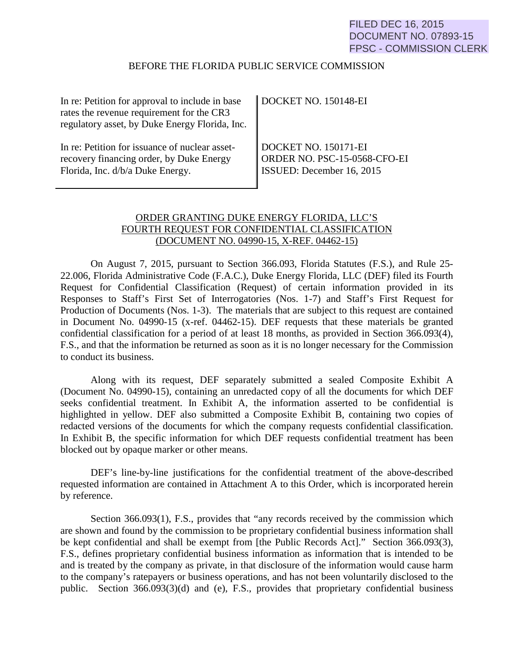# FILED DEC 16, 2015 DOCUMENT NO. 07893-15 FPSC - COMMISSION CLERK

#### BEFORE THE FLORIDA PUBLIC SERVICE COMMISSION

| In re: Petition for approval to include in base<br>rates the revenue requirement for the CR3<br>regulatory asset, by Duke Energy Florida, Inc. | $\parallel$ DOCKET NO. 150148-EI |
|------------------------------------------------------------------------------------------------------------------------------------------------|----------------------------------|
| In re: Petition for issuance of nuclear asset-                                                                                                 | DOCKET NO. 150171-EI             |
| recovery financing order, by Duke Energy                                                                                                       | ORDER NO. PSC-15-0568-CFO-EI     |
| Florida, Inc. d/b/a Duke Energy.                                                                                                               | <b>ISSUED:</b> December 16, 2015 |

# ORDER GRANTING DUKE ENERGY FLORIDA, LLC'S FOURTH REQUEST FOR CONFIDENTIAL CLASSIFICATION (DOCUMENT NO. 04990-15, X-REF. 04462-15)

On August 7, 2015, pursuant to Section 366.093, Florida Statutes (F.S.), and Rule 25- 22.006, Florida Administrative Code (F.A.C.), Duke Energy Florida, LLC (DEF) filed its Fourth Request for Confidential Classification (Request) of certain information provided in its Responses to Staff's First Set of Interrogatories (Nos. 1-7) and Staff's First Request for Production of Documents (Nos. 1-3). The materials that are subject to this request are contained in Document No. 04990-15 (x-ref. 04462-15). DEF requests that these materials be granted confidential classification for a period of at least 18 months, as provided in Section 366.093(4), F.S., and that the information be returned as soon as it is no longer necessary for the Commission to conduct its business.

Along with its request, DEF separately submitted a sealed Composite Exhibit A (Document No. 04990-15), containing an unredacted copy of all the documents for which DEF seeks confidential treatment. In Exhibit A, the information asserted to be confidential is highlighted in yellow. DEF also submitted a Composite Exhibit B, containing two copies of redacted versions of the documents for which the company requests confidential classification. In Exhibit B, the specific information for which DEF requests confidential treatment has been blocked out by opaque marker or other means.

DEF's line-by-line justifications for the confidential treatment of the above-described requested information are contained in Attachment A to this Order, which is incorporated herein by reference.

Section 366.093(1), F.S., provides that "any records received by the commission which are shown and found by the commission to be proprietary confidential business information shall be kept confidential and shall be exempt from [the Public Records Act]." Section 366.093(3), F.S., defines proprietary confidential business information as information that is intended to be and is treated by the company as private, in that disclosure of the information would cause harm to the company's ratepayers or business operations, and has not been voluntarily disclosed to the public. Section 366.093(3)(d) and (e), F.S., provides that proprietary confidential business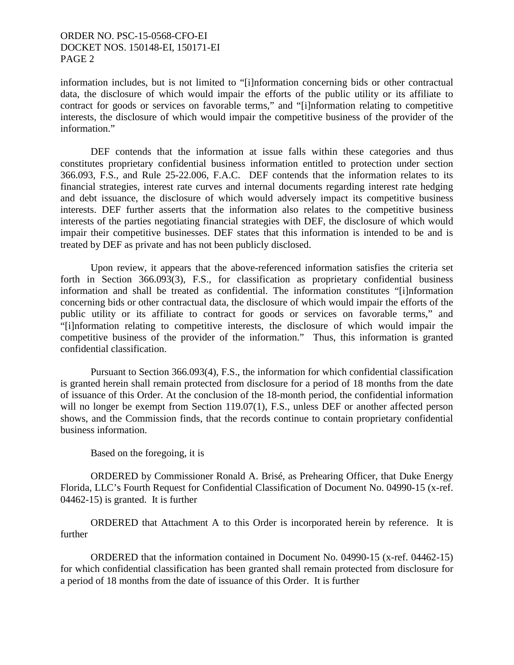## ORDER NO. PSC-15-0568-CFO-EI DOCKET NOS. 150148-EI, 150171-EI PAGE 2

information includes, but is not limited to "[i]nformation concerning bids or other contractual data, the disclosure of which would impair the efforts of the public utility or its affiliate to contract for goods or services on favorable terms," and "[i]nformation relating to competitive interests, the disclosure of which would impair the competitive business of the provider of the information."

DEF contends that the information at issue falls within these categories and thus constitutes proprietary confidential business information entitled to protection under section 366.093, F.S., and Rule 25-22.006, F.A.C. DEF contends that the information relates to its financial strategies, interest rate curves and internal documents regarding interest rate hedging and debt issuance, the disclosure of which would adversely impact its competitive business interests. DEF further asserts that the information also relates to the competitive business interests of the parties negotiating financial strategies with DEF, the disclosure of which would impair their competitive businesses. DEF states that this information is intended to be and is treated by DEF as private and has not been publicly disclosed.

Upon review, it appears that the above-referenced information satisfies the criteria set forth in Section 366.093(3), F.S., for classification as proprietary confidential business information and shall be treated as confidential. The information constitutes "[i]nformation concerning bids or other contractual data, the disclosure of which would impair the efforts of the public utility or its affiliate to contract for goods or services on favorable terms," and "[i]nformation relating to competitive interests, the disclosure of which would impair the competitive business of the provider of the information." Thus, this information is granted confidential classification.

Pursuant to Section 366.093(4), F.S., the information for which confidential classification is granted herein shall remain protected from disclosure for a period of 18 months from the date of issuance of this Order. At the conclusion of the 18-month period, the confidential information will no longer be exempt from Section 119.07(1), F.S., unless DEF or another affected person shows, and the Commission finds, that the records continue to contain proprietary confidential business information.

Based on the foregoing, it is

ORDERED by Commissioner Ronald A. Brisé, as Prehearing Officer, that Duke Energy Florida, LLC's Fourth Request for Confidential Classification of Document No. 04990-15 (x-ref. 04462-15) is granted. It is further

ORDERED that Attachment A to this Order is incorporated herein by reference. It is further

ORDERED that the information contained in Document No. 04990-15 (x-ref. 04462-15) for which confidential classification has been granted shall remain protected from disclosure for a period of 18 months from the date of issuance of this Order. It is further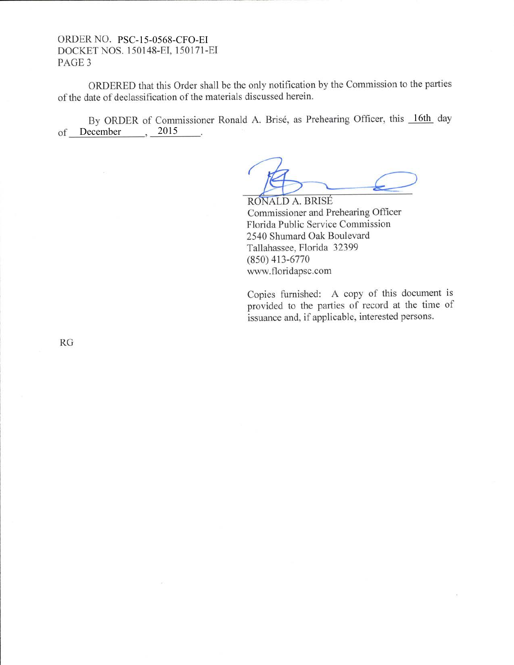### ORDERNO. PSC-15-0568-CFO-EI DOCKET NOS. 150148-EI, 150171-EI PAGE 3

ORDERED that this Order shall be the only notification by the Commission to the parties of the date of declassification of the materials discussed herein.

of December 3015 By ORDER of Commissioner Ronald A. Brisé, as Prehearing Officer, this 16th day

RONALD A. BRISÉ Commissioner and Prehearing Officer Florida Public Service Commission 2540 Shumard Oak Boulevard Tallahassee, Florida 32399 (8s0) 413-6770 www.floridapsc.com

Copies furnished: A copy of this document is provided to the parties of record at the time of issuance and, if applicable, interested persons.

RG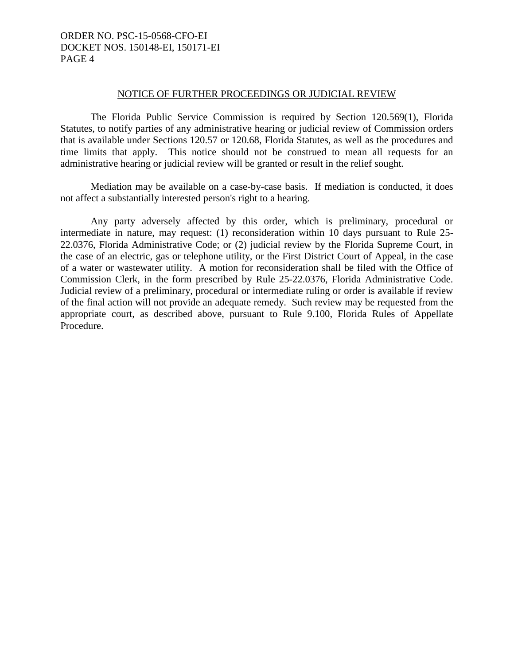# ORDER NO. PSC-15-0568-CFO-EI DOCKET NOS. 150148-EI, 150171-EI PAGE 4

#### NOTICE OF FURTHER PROCEEDINGS OR JUDICIAL REVIEW

The Florida Public Service Commission is required by Section 120.569(1), Florida Statutes, to notify parties of any administrative hearing or judicial review of Commission orders that is available under Sections 120.57 or 120.68, Florida Statutes, as well as the procedures and time limits that apply. This notice should not be construed to mean all requests for an administrative hearing or judicial review will be granted or result in the relief sought.

Mediation may be available on a case-by-case basis. If mediation is conducted, it does not affect a substantially interested person's right to a hearing.

Any party adversely affected by this order, which is preliminary, procedural or intermediate in nature, may request: (1) reconsideration within 10 days pursuant to Rule 25- 22.0376, Florida Administrative Code; or (2) judicial review by the Florida Supreme Court, in the case of an electric, gas or telephone utility, or the First District Court of Appeal, in the case of a water or wastewater utility. A motion for reconsideration shall be filed with the Office of Commission Clerk, in the form prescribed by Rule 25-22.0376, Florida Administrative Code. Judicial review of a preliminary, procedural or intermediate ruling or order is available if review of the final action will not provide an adequate remedy. Such review may be requested from the appropriate court, as described above, pursuant to Rule 9.100, Florida Rules of Appellate Procedure.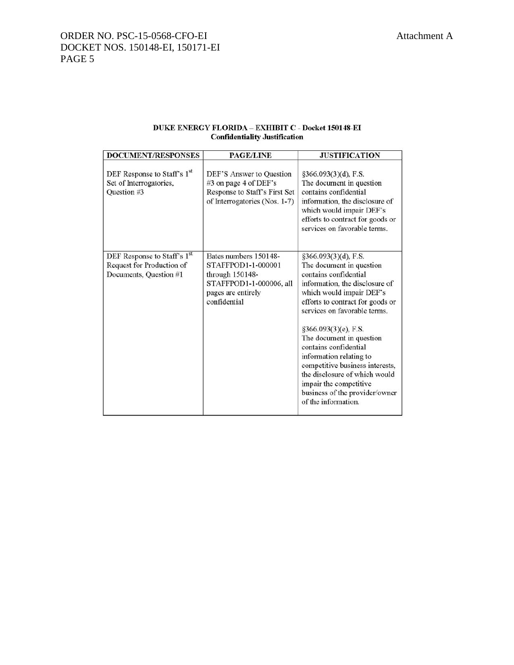|                                      | <b>DUKE ENERGY FLORIDA – EXHIBIT C - Docket 150148-EI</b> |
|--------------------------------------|-----------------------------------------------------------|
| <b>Confidentiality Justification</b> |                                                           |

| <b>DOCUMENT/RESPONSES</b>                                                          | <b>PAGE/LINE</b>                                                                                                                | <b>JUSTIFICATION</b>                                                                                                                                                                                                                                                                                                                                                                                                                                                       |
|------------------------------------------------------------------------------------|---------------------------------------------------------------------------------------------------------------------------------|----------------------------------------------------------------------------------------------------------------------------------------------------------------------------------------------------------------------------------------------------------------------------------------------------------------------------------------------------------------------------------------------------------------------------------------------------------------------------|
| DEF Response to Staff's 1st<br>Set of Interrogatories,<br>Question #3              | DEF'S Answer to Question<br>#3 on page 4 of DEF's<br>Response to Staff's First Set<br>of Interrogatories (Nos. 1-7)             | $§366.093(3)(d)$ , F.S.<br>The document in question<br>contains confidential<br>information, the disclosure of<br>which would impair DEF's<br>efforts to contract for goods or<br>services on favorable terms.                                                                                                                                                                                                                                                             |
| DEF Response to Staff's 1st<br>Request for Production of<br>Documents, Question #1 | Bates numbers 150148-<br>STAFFPOD1-1-000001<br>through 150148-<br>STAFFPOD1-1-000006, all<br>pages are entirely<br>confidential | §366.093(3)(d), F.S.<br>The document in question<br>contains confidential<br>information, the disclosure of<br>which would impair DEF's<br>efforts to contract for goods or<br>services on favorable terms.<br>§366.093(3)(e), F.S.<br>The document in question<br>contains confidential<br>information relating to<br>competitive business interests,<br>the disclosure of which would<br>impair the competitive<br>business of the provider/owner<br>of the information. |